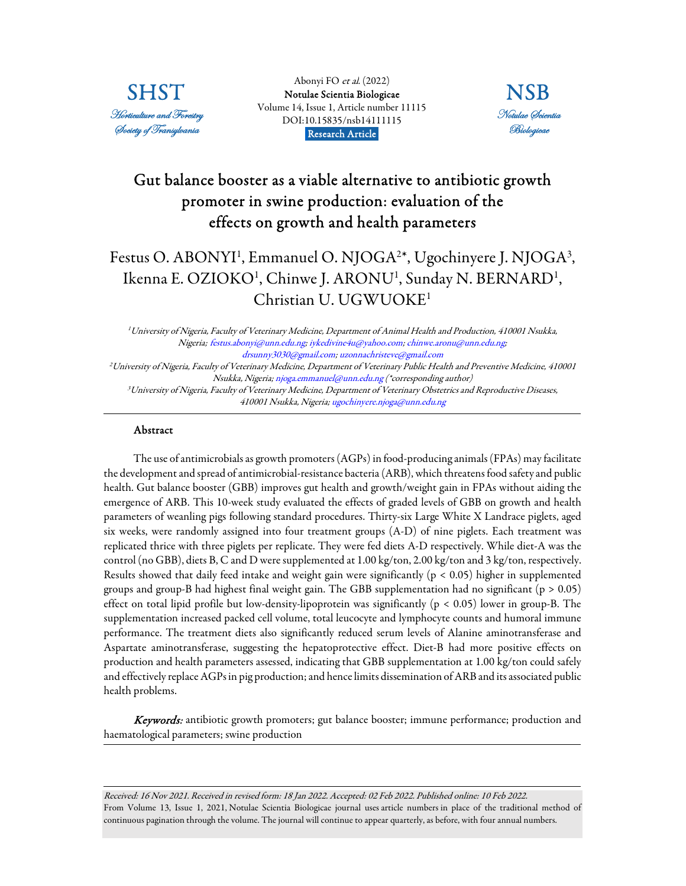

Abonyi FO et al. (2022) [Notulae Scientia Biologicae](https://www.notulaebiologicae.ro/index.php/nsb/index)  Volume 14, Issue 1, Article number 11115 DOI:10.15835/nsb14111115 Research Article.



# Gut balance booster as a viable alternative to antibiotic growth promoter in swine production: evaluation of the effects on growth and health parameters

# Festus O. ABONYI<sup>1</sup>, Emmanuel O. NJOGA<sup>2</sup>\*, Ugochinyere J. NJOGA<sup>3</sup>, Ikenna E. OZIOKO<sup>1</sup>, Chinwe J. ARONU<sup>1</sup>, Sunday N. BERNARD<sup>1</sup>, Christian U. UGWUOKE<sup>1</sup>

<sup>1</sup>University of Nigeria, Faculty of Veterinary Medicine, Department of Animal Health and Production, 410001 Nsukka, Nigeria; festus.abonyi@unn.edu.ng; iykedivine4u@yahoo.com; chinwe.aronu@unn.edu.ng; drsunny3030@gmail.com; uzonnachristeve@gmail.com <sup>2</sup>University of Nigeria, Faculty of Veterinary Medicine, Department of Veterinary Public Health and Preventive Medicine, 410001 Nsukka, Nigeria; njoga.emmanuel@unn.edu.ng (\*corresponding author) <sup>3</sup>University of Nigeria, Faculty of Veterinary Medicine, Department of Veterinary Obstetrics and Reproductive Diseases, 410001 Nsukka, Nigeria; ugochinyere.njoga@unn.edu.ng

## Abstract

The use of antimicrobials as growth promoters (AGPs) in food-producing animals (FPAs) may facilitate the development and spread of antimicrobial-resistance bacteria (ARB), which threatens food safety and public health. Gut balance booster (GBB) improves gut health and growth/weight gain in FPAs without aiding the emergence of ARB. This 10-week study evaluated the effects of graded levels of GBB on growth and health parameters of weanling pigs following standard procedures. Thirty-six Large White X Landrace piglets, aged six weeks, were randomly assigned into four treatment groups (A-D) of nine piglets. Each treatment was replicated thrice with three piglets per replicate. They were fed diets A-D respectively. While diet-A was the control (no GBB), diets B, C and D were supplemented at 1.00 kg/ton, 2.00 kg/ton and 3 kg/ton, respectively. Results showed that daily feed intake and weight gain were significantly ( $p < 0.05$ ) higher in supplemented groups and group-B had highest final weight gain. The GBB supplementation had no significant ( $p > 0.05$ ) effect on total lipid profile but low-density-lipoprotein was significantly ( $p < 0.05$ ) lower in group-B. The supplementation increased packed cell volume, total leucocyte and lymphocyte counts and humoral immune performance. The treatment diets also significantly reduced serum levels of Alanine aminotransferase and Aspartate aminotransferase, suggesting the hepatoprotective effect. Diet-B had more positive effects on production and health parameters assessed, indicating that GBB supplementation at 1.00 kg/ton could safely and effectively replace AGPs in pig production; and hence limits dissemination of ARB and its associated public health problems.

Keywords: antibiotic growth promoters; gut balance booster; immune performance; production and haematological parameters; swine production

Received: 16 Nov 2021. Received in revised form: 18 Jan 2022. Accepted: 02 Feb 2022. Published online: 10 Feb 2022. From Volume 13, Issue 1, 2021, Notulae Scientia Biologicae journal uses article numbers in place of the traditional method of continuous pagination through the volume. The journal will continue to appear quarterly, as before, with four annual numbers.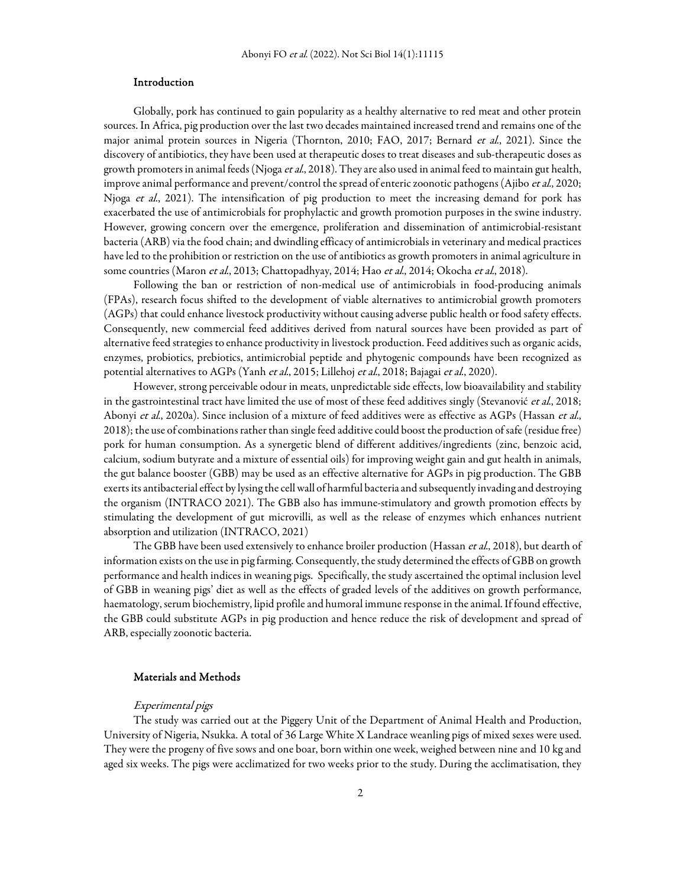## Introduction

Globally, pork has continued to gain popularity as a healthy alternative to red meat and other protein sources. In Africa, pig production over the last two decades maintained increased trend and remains one of the major animal protein sources in Nigeria (Thornton, 2010; FAO, 2017; Bernard et al., 2021). Since the discovery of antibiotics, they have been used at therapeutic doses to treat diseases and sub-therapeutic doses as growth promoters in animal feeds (Njoga *et al.*, 2018). They are also used in animal feed to maintain gut health, improve animal performance and prevent/control the spread of enteric zoonotic pathogens (Ajibo et al., 2020; Njoga et al., 2021). The intensification of pig production to meet the increasing demand for pork has exacerbated the use of antimicrobials for prophylactic and growth promotion purposes in the swine industry. However, growing concern over the emergence, proliferation and dissemination of antimicrobial-resistant bacteria (ARB) via the food chain; and dwindling efficacy of antimicrobials in veterinary and medical practices have led to the prohibition or restriction on the use of antibiotics as growth promoters in animal agriculture in some countries (Maron et al., 2013; Chattopadhyay, 2014; Hao et al., 2014; Okocha et al., 2018).

Following the ban or restriction of non-medical use of antimicrobials in food-producing animals (FPAs), research focus shifted to the development of viable alternatives to antimicrobial growth promoters (AGPs) that could enhance livestock productivity without causing adverse public health or food safety effects. Consequently, new commercial feed additives derived from natural sources have been provided as part of alternative feed strategies to enhance productivity in livestock production. Feed additives such as organic acids, enzymes, probiotics, prebiotics, antimicrobial peptide and phytogenic compounds have been recognized as potential alternatives to AGPs (Yanh et al., 2015; Lillehoj et al., 2018; Bajagai et al., 2020).

However, strong perceivable odour in meats, unpredictable side effects, low bioavailability and stability in the gastrointestinal tract have limited the use of most of these feed additives singly (Stevanović et al., 2018; Abonyi et al., 2020a). Since inclusion of a mixture of feed additives were as effective as AGPs (Hassan et al., 2018); the use of combinations rather than single feed additive could boost the production of safe (residue free) pork for human consumption. As a synergetic blend of different additives/ingredients (zinc, benzoic acid, calcium, sodium butyrate and a mixture of essential oils) for improving weight gain and gut health in animals, the gut balance booster (GBB) may be used as an effective alternative for AGPs in pig production. The GBB exerts its antibacterial effect by lysing the cell wall of harmful bacteria and subsequently invading and destroying the organism (INTRACO 2021). The GBB also has immune-stimulatory and growth promotion effects by stimulating the development of gut microvilli, as well as the release of enzymes which enhances nutrient absorption and utilization (INTRACO, 2021)

The GBB have been used extensively to enhance broiler production (Hassan et al., 2018), but dearth of information exists on the use in pig farming. Consequently, the study determined the effects of GBB on growth performance and health indices in weaning pigs. Specifically, the study ascertained the optimal inclusion level of GBB in weaning pigs' diet as well as the effects of graded levels of the additives on growth performance, haematology, serum biochemistry, lipid profile and humoral immune response in the animal. If found effective, the GBB could substitute AGPs in pig production and hence reduce the risk of development and spread of ARB, especially zoonotic bacteria.

## Materials and Methods

#### Experimental pigs

The study was carried out at the Piggery Unit of the Department of Animal Health and Production, University of Nigeria, Nsukka. A total of 36 Large White X Landrace weanling pigs of mixed sexes were used. They were the progeny of five sows and one boar, born within one week, weighed between nine and 10 kg and aged six weeks. The pigs were acclimatized for two weeks prior to the study. During the acclimatisation, they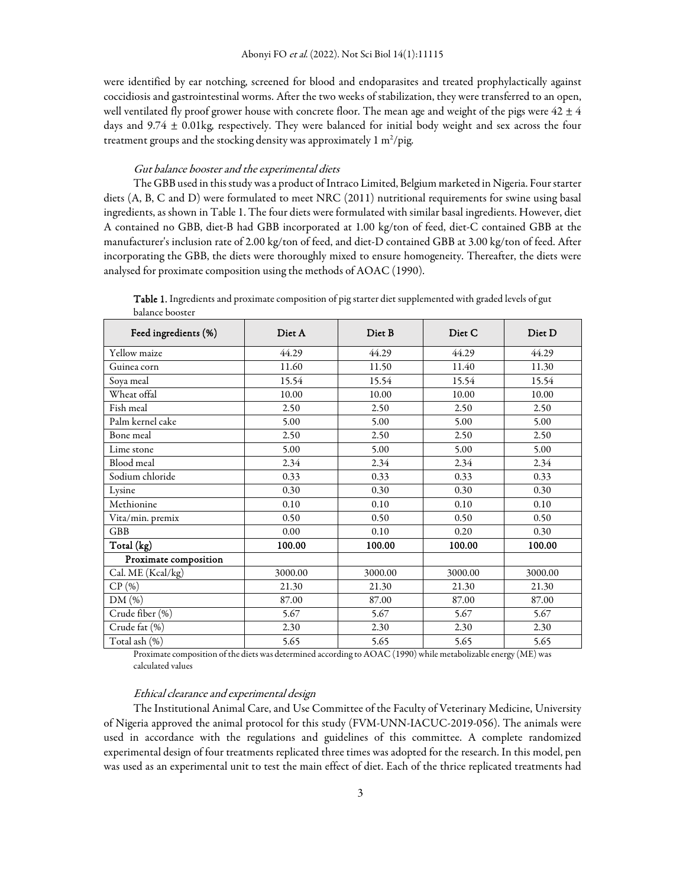were identified by ear notching, screened for blood and endoparasites and treated prophylactically against coccidiosis and gastrointestinal worms. After the two weeks of stabilization, they were transferred to an open, well ventilated fly proof grower house with concrete floor. The mean age and weight of the pigs were  $42 \pm 4$ days and 9.74 ± 0.01kg, respectively. They were balanced for initial body weight and sex across the four treatment groups and the stocking density was approximately  $1 \text{ m}^2/\text{pi}$ g.

#### Gut balance booster and the experimental diets

The GBB used in this study was a product of Intraco Limited, Belgium marketed in Nigeria. Four starter diets (A, B, C and D) were formulated to meet NRC (2011) nutritional requirements for swine using basal ingredients, as shown in Table 1. The four diets were formulated with similar basal ingredients. However, diet A contained no GBB, diet-B had GBB incorporated at 1.00 kg/ton of feed, diet-C contained GBB at the manufacturer's inclusion rate of 2.00 kg/ton of feed, and diet-D contained GBB at 3.00 kg/ton of feed. After incorporating the GBB, the diets were thoroughly mixed to ensure homogeneity. Thereafter, the diets were analysed for proximate composition using the methods of AOAC (1990).

| Feed ingredients (%)  | Diet A  | Diet B  | Diet C  | Diet <sub>D</sub> |
|-----------------------|---------|---------|---------|-------------------|
| Yellow maize          | 44.29   | 44.29   | 44.29   | 44.29             |
| Guinea corn           | 11.60   | 11.50   | 11.40   | 11.30             |
| Soya meal             | 15.54   | 15.54   | 15.54   | 15.54             |
| Wheat offal           | 10.00   | 10.00   | 10.00   | 10.00             |
| Fish meal             | 2.50    | 2.50    | 2.50    | 2.50              |
| Palm kernel cake      | 5.00    | 5.00    | 5.00    | 5.00              |
| Bone meal             | 2.50    | 2.50    | 2.50    | 2.50              |
| Lime stone            | 5.00    | 5.00    | 5.00    | 5.00              |
| Blood meal            | 2.34    | 2.34    | 2.34    | 2.34              |
| Sodium chloride       | 0.33    | 0.33    | 0.33    | 0.33              |
| Lysine                | 0.30    | 0.30    | 0.30    | 0.30              |
| Methionine            | 0.10    | 0.10    | 0.10    | 0.10              |
| Vita/min. premix      | 0.50    | 0.50    | 0.50    | 0.50              |
| <b>GBB</b>            | 0.00    | 0.10    | 0.20    | 0.30              |
| Total (kg)            | 100.00  | 100.00  | 100.00  | 100.00            |
| Proximate composition |         |         |         |                   |
| Cal. ME (Kcal/kg)     | 3000.00 | 3000.00 | 3000.00 | 3000.00           |
| CP(%)                 | 21.30   | 21.30   | 21.30   | 21.30             |
| DM(%)                 | 87.00   | 87.00   | 87.00   | 87.00             |
| Crude fiber (%)       | 5.67    | 5.67    | 5.67    | 5.67              |
| Crude fat (%)         | 2.30    | 2.30    | 2.30    | 2.30              |
| Total ash (%)         | 5.65    | 5.65    | 5.65    | 5.65              |

Table 1. Ingredients and proximate composition of pig starter diet supplemented with graded levels of gut balance booster

Proximate composition of the diets was determined according to AOAC (1990) while metabolizable energy (ME) was calculated values

#### Ethical clearance and experimental design

The Institutional Animal Care, and Use Committee of the Faculty of Veterinary Medicine, University of Nigeria approved the animal protocol for this study (FVM-UNN-IACUC-2019-056). The animals were used in accordance with the regulations and guidelines of this committee. A complete randomized experimental design of four treatments replicated three times was adopted for the research. In this model, pen was used as an experimental unit to test the main effect of diet. Each of the thrice replicated treatments had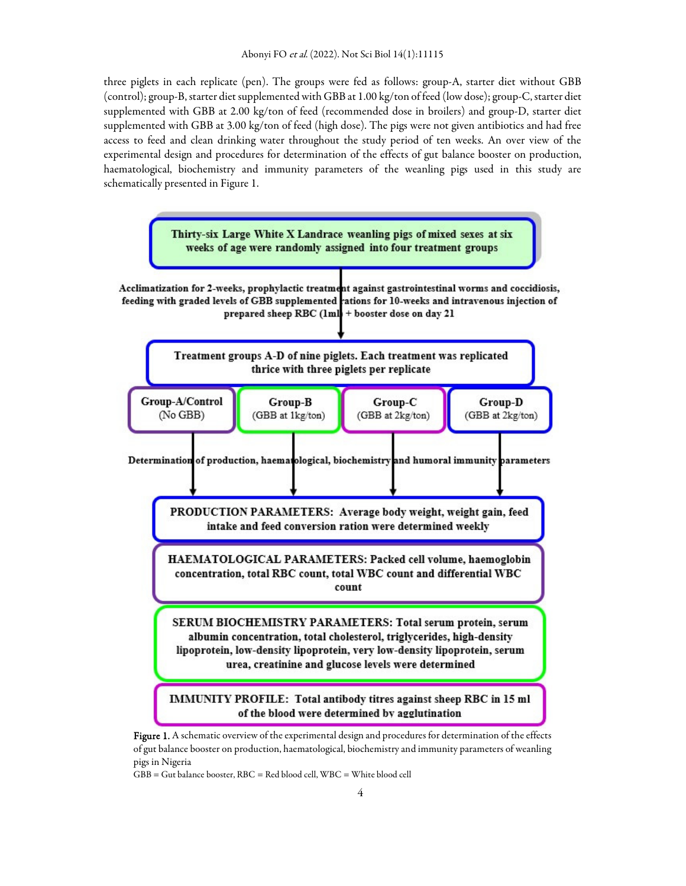three piglets in each replicate (pen). The groups were fed as follows: group-A, starter diet without GBB (control); group-B, starter diet supplemented with GBB at 1.00 kg/ton of feed (low dose); group-C, starter diet supplemented with GBB at 2.00 kg/ton of feed (recommended dose in broilers) and group-D, starter diet supplemented with GBB at 3.00 kg/ton of feed (high dose). The pigs were not given antibiotics and had free access to feed and clean drinking water throughout the study period of ten weeks. An over view of the experimental design and procedures for determination of the effects of gut balance booster on production, haematological, biochemistry and immunity parameters of the weanling pigs used in this study are schematically presented in Figure 1.



Figure 1. A schematic overview of the experimental design and procedures for determination of the effects of gut balance booster on production, haematological, biochemistry and immunity parameters of weanling pigs in Nigeria

GBB = Gut balance booster, RBC = Red blood cell, WBC = White blood cell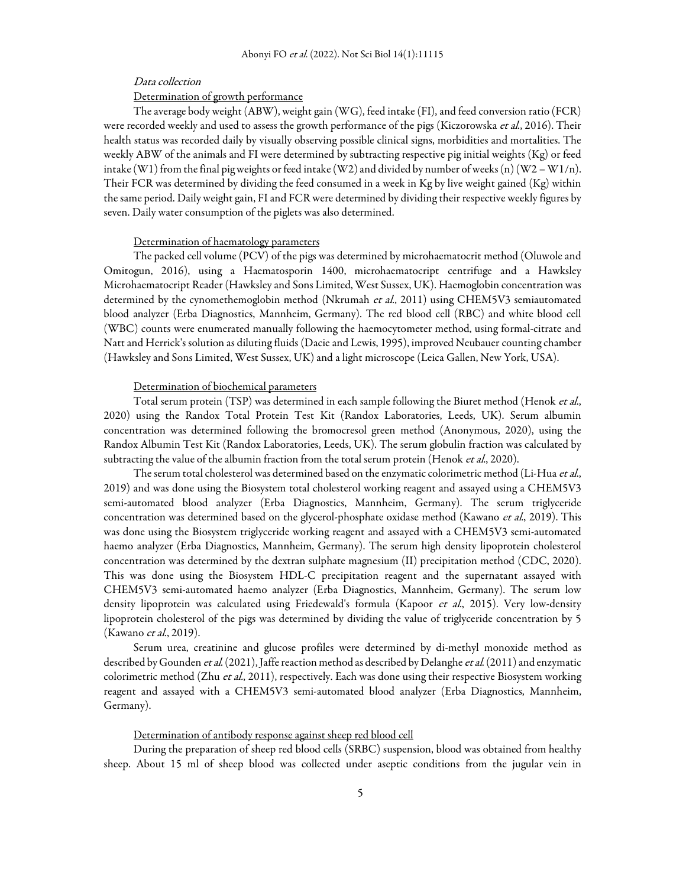## Data collection

## Determination of growth performance

The average body weight (ABW), weight gain (WG), feed intake (FI), and feed conversion ratio (FCR) were recorded weekly and used to assess the growth performance of the pigs (Kiczorowska et al., 2016). Their health status was recorded daily by visually observing possible clinical signs, morbidities and mortalities. The weekly ABW of the animals and FI were determined by subtracting respective pig initial weights (Kg) or feed intake (W1) from the final pig weights or feed intake (W2) and divided by number of weeks (n) (W2 – W1/n). Their FCR was determined by dividing the feed consumed in a week in Kg by live weight gained (Kg) within the same period. Daily weight gain, FI and FCR were determined by dividing their respective weekly figures by seven. Daily water consumption of the piglets was also determined.

#### Determination of haematology parameters

The packed cell volume (PCV) of the pigs was determined by microhaematocrit method (Oluwole and Omitogun, 2016), using a Haematosporin 1400, microhaematocript centrifuge and a Hawksley Microhaematocript Reader (Hawksley and Sons Limited, West Sussex, UK). Haemoglobin concentration was determined by the cynomethemoglobin method (Nkrumah et al., 2011) using CHEM5V3 semiautomated blood analyzer (Erba Diagnostics, Mannheim, Germany). The red blood cell (RBC) and white blood cell (WBC) counts were enumerated manually following the haemocytometer method, using formal-citrate and Natt and Herrick's solution as diluting fluids (Dacie and Lewis, 1995), improved Neubauer counting chamber (Hawksley and Sons Limited, West Sussex, UK) and a light microscope (Leica Gallen, New York, USA).

## Determination of biochemical parameters

Total serum protein (TSP) was determined in each sample following the Biuret method (Henok et al., 2020) using the Randox Total Protein Test Kit (Randox Laboratories, Leeds, UK). Serum albumin concentration was determined following the bromocresol green method (Anonymous, 2020), using the Randox Albumin Test Kit (Randox Laboratories, Leeds, UK). The serum globulin fraction was calculated by subtracting the value of the albumin fraction from the total serum protein (Henok et al., 2020).

The serum total cholesterol was determined based on the enzymatic colorimetric method (Li-Hua et al., 2019) and was done using the Biosystem total cholesterol working reagent and assayed using a CHEM5V3 semi-automated blood analyzer (Erba Diagnostics, Mannheim, Germany). The serum triglyceride concentration was determined based on the glycerol-phosphate oxidase method (Kawano et al., 2019). This was done using the Biosystem triglyceride working reagent and assayed with a CHEM5V3 semi-automated haemo analyzer (Erba Diagnostics, Mannheim, Germany). The serum high density lipoprotein cholesterol concentration was determined by the dextran sulphate magnesium (II) precipitation method (CDC, 2020). This was done using the Biosystem HDL-C precipitation reagent and the supernatant assayed with CHEM5V3 semi-automated haemo analyzer (Erba Diagnostics, Mannheim, Germany). The serum low density lipoprotein was calculated using Friedewald's formula (Kapoor et al., 2015). Very low-density lipoprotein cholesterol of the pigs was determined by dividing the value of triglyceride concentration by 5 (Kawano *et al.*, 2019).

Serum urea, creatinine and glucose profiles were determined by di-methyl monoxide method as described by Gounden et al. (2021), Jaffe reaction method as described by Delanghe et al. (2011) and enzymatic colorimetric method (Zhu et al., 2011), respectively. Each was done using their respective Biosystem working reagent and assayed with a CHEM5V3 semi-automated blood analyzer (Erba Diagnostics, Mannheim, Germany).

## Determination of antibody response against sheep red blood cell

During the preparation of sheep red blood cells (SRBC) suspension, blood was obtained from healthy sheep. About 15 ml of sheep blood was collected under aseptic conditions from the jugular vein in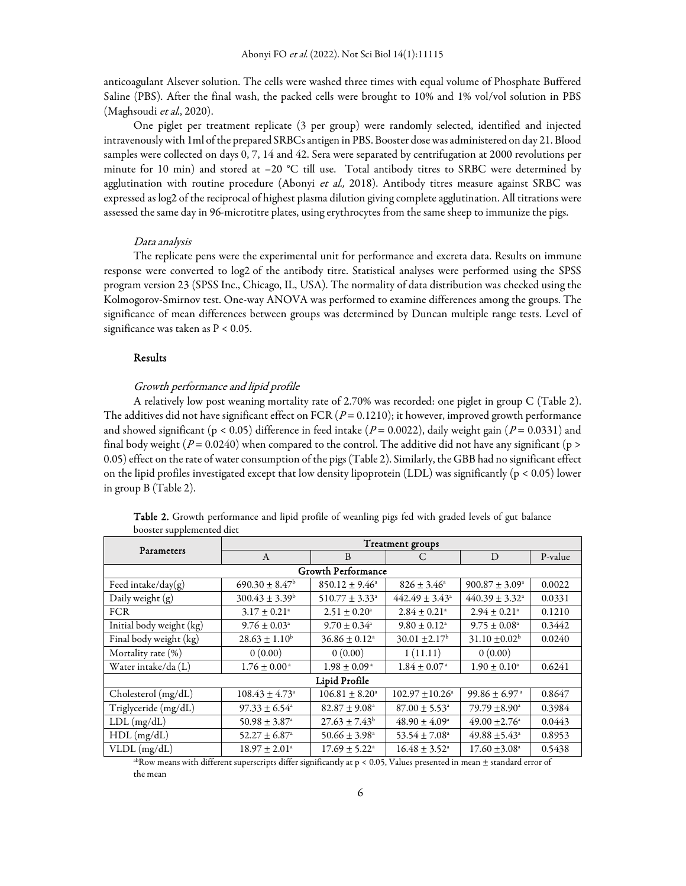anticoagulant Alsever solution. The cells were washed three times with equal volume of Phosphate Buffered Saline (PBS). After the final wash, the packed cells were brought to 10% and 1% vol/vol solution in PBS (Maghsoudi et al., 2020).

One piglet per treatment replicate (3 per group) were randomly selected, identified and injected intravenously with 1ml of the prepared SRBCs antigen in PBS. Booster dose was administered on day 21. Blood samples were collected on days 0, 7, 14 and 42. Sera were separated by centrifugation at 2000 revolutions per minute for 10 min) and stored at –20 °C till use. Total antibody titres to SRBC were determined by agglutination with routine procedure (Abonyi et al., 2018). Antibody titres measure against SRBC was expressed as log2 of the reciprocal of highest plasma dilution giving complete agglutination. All titrations were assessed the same day in 96-microtitre plates, using erythrocytes from the same sheep to immunize the pigs.

#### Data analysis

The replicate pens were the experimental unit for performance and excreta data. Results on immune response were converted to log2 of the antibody titre. Statistical analyses were performed using the SPSS program version 23 (SPSS Inc., Chicago, IL, USA). The normality of data distribution was checked using the Kolmogorov-Smirnov test. One-way ANOVA was performed to examine differences among the groups. The significance of mean differences between groups was determined by Duncan multiple range tests. Level of significance was taken as  $P < 0.05$ .

## Results

## Growth performance and lipid profile

A relatively low post weaning mortality rate of 2.70% was recorded: one piglet in group C (Table 2). The additives did not have significant effect on FCR ( $P = 0.1210$ ); it however, improved growth performance and showed significant (p < 0.05) difference in feed intake ( $P = 0.0022$ ), daily weight gain ( $P = 0.0331$ ) and final body weight ( $P = 0.0240$ ) when compared to the control. The additive did not have any significant ( $p >$ 0.05) effect on the rate of water consumption of the pigs (Table 2). Similarly, the GBB had no significant effect on the lipid profiles investigated except that low density lipoprotein (LDL) was significantly (p < 0.05) lower in group B (Table 2).

| Parameters                | <b>Treatment</b> groups        |                               |                               |                                |         |  |  |
|---------------------------|--------------------------------|-------------------------------|-------------------------------|--------------------------------|---------|--|--|
|                           | $\mathsf{A}$                   | B                             | C                             | D                              | P-value |  |  |
| <b>Growth Performance</b> |                                |                               |                               |                                |         |  |  |
| Feed intake/day(g)        | $690.30 \pm 8.47^{\rm b}$      | $850.12 \pm 9.46^{\circ}$     | $826 + 3.46^{\circ}$          | $900.87 \pm 3.09^{\circ}$      | 0.0022  |  |  |
| Daily weight (g)          | $300.43 \pm 3.39^{\rm b}$      | $510.77 \pm 3.33^{\circ}$     | $442.49 \pm 3.43^{\circ}$     | $440.39 \pm 3.32$ <sup>a</sup> | 0.0331  |  |  |
| <b>FCR</b>                | $3.17 \pm 0.21$ <sup>a</sup>   | $2.51 \pm 0.20^{\rm a}$       | $2.84 \pm 0.21$ <sup>a</sup>  | $2.94 \pm 0.21$ <sup>a</sup>   | 0.1210  |  |  |
| Initial body weight (kg)  | $9.76 \pm 0.03$ <sup>a</sup>   | $9.70 \pm 0.34$ <sup>a</sup>  | $9.80 \pm 0.12$ <sup>a</sup>  | $9.75 \pm 0.08$ <sup>a</sup>   | 0.3442  |  |  |
| Final body weight (kg)    | $28.63 \pm 1.10^b$             | $36.86 \pm 0.12$ <sup>a</sup> | $30.01 \pm 2.17^{\rm b}$      | $31.10 \pm 0.02^b$             | 0.0240  |  |  |
| Mortality rate (%)        | 0(0.00)                        | 0(0.00)                       | 1(11.11)                      | 0(0.00)                        |         |  |  |
| Water intake/da (L)       | $1.76 \pm 0.00^{\circ}$        | $1.98 \pm 0.09^{\circ}$       | $1.84 \pm 0.07$ <sup>a</sup>  | $1.90\pm0.10^{\rm a}$          | 0.6241  |  |  |
| Lipid Profile             |                                |                               |                               |                                |         |  |  |
| Cholesterol (mg/dL)       | $108.43 \pm 4.73$ <sup>a</sup> | $106.81 \pm 8.20^{\circ}$     | $102.97 + 10.26$ <sup>a</sup> | $99.86 \pm 6.97$ <sup>a</sup>  | 0.8647  |  |  |
| Triglyceride (mg/dL)      | $97.33 \pm 6.54$ <sup>a</sup>  | $82.87 \pm 9.08^{\circ}$      | $87.00 \pm 5.53$ <sup>a</sup> | $79.79 \pm 8.90^{\circ}$       | 0.3984  |  |  |
| $LDL$ (mg/dL)             | $50.98 \pm 3.87$ <sup>a</sup>  | $27.63 \pm 7.43^b$            | $48.90 \pm 4.09^{\circ}$      | $49.00 + 2.76$ <sup>a</sup>    | 0.0443  |  |  |
| $HDL$ (mg/dL)             | 52.27 ± $6.87^{\circ}$         | $50.66 \pm 3.98$ <sup>a</sup> | 53.54 ± $7.08^a$              | $49.88 \pm 5.43$ <sup>a</sup>  | 0.8953  |  |  |
| VLDL (mg/dL)              | $18.97 \pm 2.01^{\circ}$       | $17.69 \pm 5.22^{\circ}$      | $16.48 \pm 3.52$ <sup>a</sup> | $17.60 \pm 3.08$ <sup>a</sup>  | 0.5438  |  |  |

Table 2. Growth performance and lipid profile of weanling pigs fed with graded levels of gut balance booster supplemented diet

 $^{ab}\!$ Row means with different superscripts differ significantly at p < 0.05, Values presented in mean  $\pm$  standard error of the mean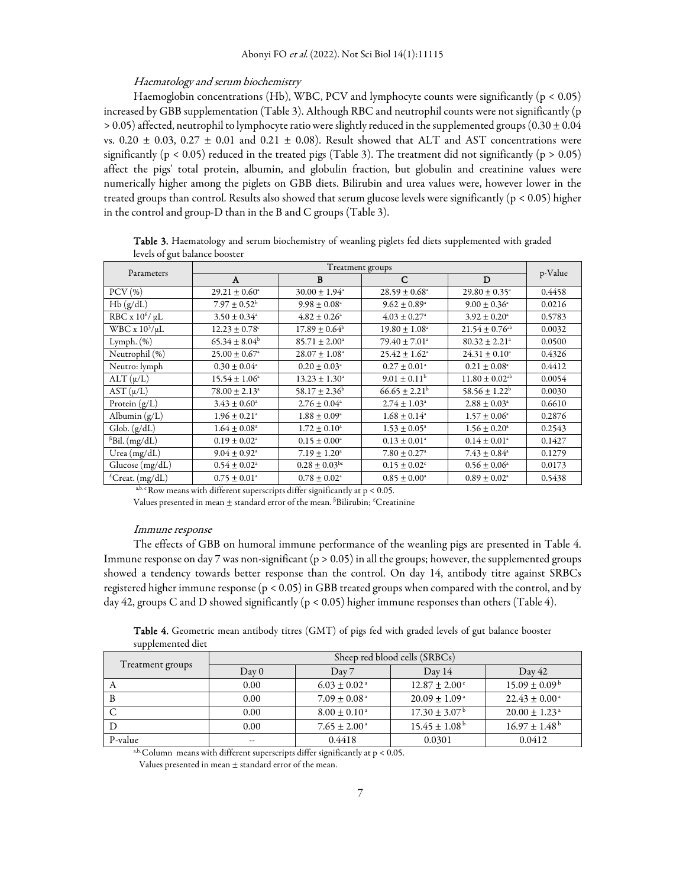#### Haematology and serum biochemistry

Haemoglobin concentrations (Hb), WBC, PCV and lymphocyte counts were significantly ( $p < 0.05$ ) increased by GBB supplementation (Table 3). Although RBC and neutrophil counts were not significantly (p  $> 0.05$ ) affected, neutrophil to lymphocyte ratio were slightly reduced in the supplemented groups (0.30  $\pm$  0.04 vs. 0.20  $\pm$  0.03, 0.27  $\pm$  0.01 and 0.21  $\pm$  0.08). Result showed that ALT and AST concentrations were significantly ( $p < 0.05$ ) reduced in the treated pigs (Table 3). The treatment did not significantly ( $p > 0.05$ ) affect the pigs' total protein, albumin, and globulin fraction, but globulin and creatinine values were numerically higher among the piglets on GBB diets. Bilirubin and urea values were, however lower in the treated groups than control. Results also showed that serum glucose levels were significantly (p < 0.05) higher in the control and group-D than in the B and C groups (Table 3).

| $\sigma$                    | Treatment groups              |                               |                               |                                |         |  |
|-----------------------------|-------------------------------|-------------------------------|-------------------------------|--------------------------------|---------|--|
| Parameters                  | A                             | B                             | C                             | D                              | p-Value |  |
| $PCV$ (%)                   | $29.21 \pm 0.60^{\circ}$      | $30.00 \pm 1.94$ <sup>a</sup> | $28.59 \pm 0.68^{\circ}$      | $29.80 \pm 0.35^{\circ}$       | 0.4458  |  |
| Hb(g/dL)                    | $7.97 \pm 0.52^{\rm b}$       | $9.98 \pm 0.08^{\circ}$       | $9.62 \pm 0.89^{\circ}$       | $9.00 \pm 0.36^{\circ}$        | 0.0216  |  |
| RBC x $10^6 / \mu L$        | $3.50 \pm 0.34$ <sup>a</sup>  | $4.82 \pm 0.26$ <sup>a</sup>  | $4.03 \pm 0.27$ <sup>a</sup>  | $3.92 \pm 0.20^{\circ}$        | 0.5783  |  |
| WBC x $10^3/\mu L$          | $12.23 \pm 0.78$ <sup>c</sup> | $17.89 \pm 0.64^{\rm b}$      | $19.80 \pm 1.08^{\circ}$      | $21.54 \pm 0.76$ <sup>ab</sup> | 0.0032  |  |
| Lymph. $(\%)$               | $65.34 \pm 8.04^b$            | $85.71 \pm 2.00^{\circ}$      | $79.40 \pm 7.01$ <sup>a</sup> | $80.32 \pm 2.21$ <sup>a</sup>  | 0.0500  |  |
| Neutrophil (%)              | $25.00 \pm 0.67$ <sup>a</sup> | $28.07 \pm 1.08^{\circ}$      | $25.42 \pm 1.62$ <sup>a</sup> | $24.31 \pm 0.10^a$             | 0.4326  |  |
| Neutro: lymph               | $0.30 \pm 0.04^{\circ}$       | $0.20 \pm 0.03^{\circ}$       | $0.27 \pm 0.01^{\circ}$       | $0.21 \pm 0.08^{\text{a}}$     | 0.4412  |  |
| $ALT(\mu/L)$                | $15.54 \pm 1.06^{\circ}$      | $13.23 \pm 1.30^{\circ}$      | $9.01 \pm 0.11^{\rm b}$       | $11.80 \pm 0.02$ <sup>ab</sup> | 0.0054  |  |
| $AST(\mu/L)$                | $78.00 \pm 2.13^{\circ}$      | 58.17 ± 2.36 <sup>b</sup>     | $66.65 \pm 2.21^b$            | 58.56 ± 1.22 <sup>b</sup>      | 0.0030  |  |
| Protein (g/L)               | $3.43 \pm 0.60^{\circ}$       | $2.76 \pm 0.04$ <sup>a</sup>  | $2.74 \pm 1.03$ <sup>a</sup>  | $2.88 \pm 0.03^{\circ}$        | 0.6610  |  |
| Albumin (g/L)               | $1.96 \pm 0.21$ <sup>a</sup>  | $1.88 \pm 0.09^{\circ}$       | $1.68 \pm 0.14^{\circ}$       | $1.57 \pm 0.06^{\circ}$        | 0.2876  |  |
| Glob. (g/dL)                | $1.64 \pm 0.08$ <sup>a</sup>  | $1.72 \pm 0.10^{\circ}$       | $1.53 \pm 0.05^{\circ}$       | $1.56 \pm 0.20^{\circ}$        | 0.2543  |  |
| $\beta$ Bil. (mg/dL)        | $0.19 \pm 0.02^{\circ}$       | $0.15 \pm 0.00^{\circ}$       | $0.13 \pm 0.01^{\circ}$       | $0.14 \pm 0.01^a$              | 0.1427  |  |
| Urea $(mg/dL)$              | $9.04 \pm 0.92$ <sup>a</sup>  | $7.19 \pm 1.20^a$             | $7.80 \pm 0.27$ <sup>a</sup>  | $7.43 \pm 0.84^{\circ}$        | 0.1279  |  |
| Glucose (mg/dL)             | $0.54 \pm 0.02^{\circ}$       | $0.28 \pm 0.03^{bc}$          | $0.15 \pm 0.02$ <sup>c</sup>  | $0.56 \pm 0.06^{\circ}$        | 0.0173  |  |
| <sup>£</sup> Creat. (mg/dL) | $0.75 \pm 0.01$ <sup>a</sup>  | $0.78 \pm 0.02^{\text{a}}$    | $0.85 \pm 0.00^{\circ}$       | $0.89 \pm 0.02^{\text{a}}$     | 0.5438  |  |

Table 3. Haematology and serum biochemistry of weanling piglets fed diets supplemented with graded levels of gut balance booster

a,b, c Row means with different superscripts differ significantly at  $p < 0.05$ .

Values presented in mean  $\pm$  standard error of the mean. <sup>β</sup>Bilirubin; <sup>£</sup>Creatinine

#### Immune response

The effects of GBB on humoral immune performance of the weanling pigs are presented in Table 4. Immune response on day 7 was non-significant (p > 0.05) in all the groups; however, the supplemented groups showed a tendency towards better response than the control. On day 14, antibody titre against SRBCs registered higher immune response (p < 0.05) in GBB treated groups when compared with the control, and by day 42, groups C and D showed significantly ( $p < 0.05$ ) higher immune responses than others (Table 4).

Table 4. Geometric mean antibody titres (GMT) of pigs fed with graded levels of gut balance booster supplemented diet

| Treatment groups | Sheep red blood cells (SRBCs) |                              |                               |                               |  |
|------------------|-------------------------------|------------------------------|-------------------------------|-------------------------------|--|
|                  | Day 0                         | $\mathrm{Dav} 7$             | Day 14                        | Day 42                        |  |
| $\mathcal{A}$    | 0.00                          | $6.03 \pm 0.02$ <sup>a</sup> | $12.87 \pm 2.00^{\circ}$      | $15.09 \pm 0.09^{\mathrm{b}}$ |  |
| B                | 0.00                          | $7.09 \pm 0.08$ <sup>a</sup> | $20.09 \pm 1.09^{\circ}$      | $22.43 \pm 0.00^{\circ}$      |  |
|                  | 0.00                          | $8.00 \pm 0.10^{\circ}$      | $17.30 \pm 3.07^{\mathrm{b}}$ | $20.00 \pm 1.23$ <sup>a</sup> |  |
|                  | 0.00                          | $7.65 \pm 2.00^{\circ}$      | $15.45 \pm 1.08^{\mathrm{b}}$ | $16.97 \pm 1.48^{\mathrm{b}}$ |  |
| P-value          |                               | 0.4418                       | 0.0301                        | 0.0412                        |  |

 $a, b,$  Column means with different superscripts differ significantly at  $p < 0.05$ .

Values presented in mean ± standard error of the mean.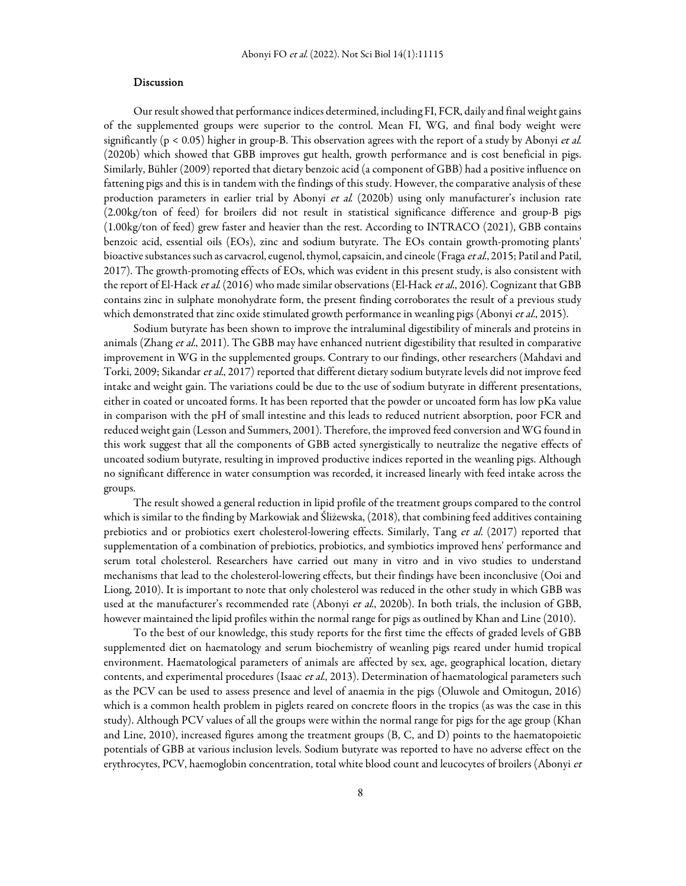#### Discussion

Our result showed that performance indices determined, including FI, FCR, daily and final weight gains of the supplemented groups were superior to the control. Mean FI, WG, and final body weight were significantly ( $p < 0.05$ ) higher in group-B. This observation agrees with the report of a study by Abonyi et al. (2020b) which showed that GBB improves gut health, growth performance and is cost beneficial in pigs. Similarly, Bühler (2009) reported that dietary benzoic acid (a component of GBB) had a positive influence on fattening pigs and this is in tandem with the findings of this study. However, the comparative analysis of these production parameters in earlier trial by Abonyi et al. (2020b) using only manufacturer's inclusion rate (2.00kg/ton of feed) for broilers did not result in statistical significance difference and group-B pigs (1.00kg/ton of feed) grew faster and heavier than the rest. According to INTRACO (2021), GBB contains benzoic acid, essential oils (EOs), zinc and sodium butyrate. The EOs contain growth-promoting plants' bioactive substances such as carvacrol, eugenol, thymol, capsaicin, and cineole (Fraga et al., 2015; Patil and Patil, 2017). The growth-promoting effects of EOs, which was evident in this present study, is also consistent with the report of El-Hack et al. (2016) who made similar observations (El-Hack et al., 2016). Cognizant that GBB contains zinc in sulphate monohydrate form, the present finding corroborates the result of a previous study which demonstrated that zinc oxide stimulated growth performance in weanling pigs (Abonyi et al., 2015).

Sodium butyrate has been shown to improve the intraluminal digestibility of minerals and proteins in animals (Zhang et al., 2011). The GBB may have enhanced nutrient digestibility that resulted in comparative improvement in WG in the supplemented groups. Contrary to our findings, other researchers (Mahdavi and Torki, 2009; Sikandar et al., 2017) reported that different dietary sodium butyrate levels did not improve feed intake and weight gain. The variations could be due to the use of sodium butyrate in different presentations, either in coated or uncoated forms. It has been reported that the powder or uncoated form has low pKa value in comparison with the pH of small intestine and this leads to reduced nutrient absorption, poor FCR and reduced weight gain (Lesson and Summers, 2001). Therefore, the improved feed conversion and WG found in this work suggest that all the components of GBB acted synergistically to neutralize the negative effects of uncoated sodium butyrate, resulting in improved productive indices reported in the weanling pigs. Although no significant difference in water consumption was recorded, it increased linearly with feed intake across the groups.

The result showed a general reduction in lipid profile of the treatment groups compared to the control which is similar to the finding by Markowiak and Śliżewska, (2018), that combining feed additives containing prebiotics and or probiotics exert cholesterol-lowering effects. Similarly, Tang et al. (2017) reported that supplementation of a combination of prebiotics, probiotics, and symbiotics improved hens' performance and serum total cholesterol. Researchers have carried out many in vitro and in vivo studies to understand mechanisms that lead to the cholesterol-lowering effects, but their findings have been inconclusive (Ooi and Liong, 2010). It is important to note that only cholesterol was reduced in the other study in which GBB was used at the manufacturer's recommended rate (Abonyi et al., 2020b). In both trials, the inclusion of GBB, however maintained the lipid profiles within the normal range for pigs as outlined by Khan and Line (2010).

To the best of our knowledge, this study reports for the first time the effects of graded levels of GBB supplemented diet on haematology and serum biochemistry of weanling pigs reared under humid tropical environment. Haematological parameters of animals are affected by sex, age, geographical location, dietary contents, and experimental procedures (Isaac et al., 2013). Determination of haematological parameters such as the PCV can be used to assess presence and level of anaemia in the pigs (Oluwole and Omitogun, 2016) which is a common health problem in piglets reared on concrete floors in the tropics (as was the case in this study). Although PCV values of all the groups were within the normal range for pigs for the age group (Khan and Line, 2010), increased figures among the treatment groups (B, C, and D) points to the haematopoietic potentials of GBB at various inclusion levels. Sodium butyrate was reported to have no adverse effect on the erythrocytes, PCV, haemoglobin concentration, total white blood count and leucocytes of broilers (Abonyi et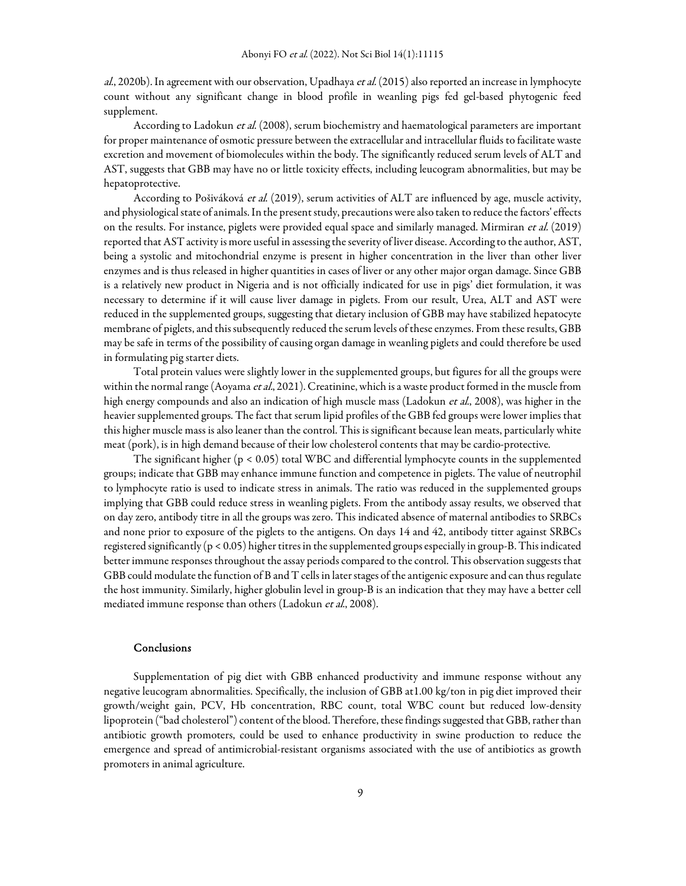al., 2020b). In agreement with our observation, Upadhaya et al. (2015) also reported an increase in lymphocyte count without any significant change in blood profile in weanling pigs fed gel-based phytogenic feed supplement.

According to Ladokun et al. (2008), serum biochemistry and haematological parameters are important for proper maintenance of osmotic pressure between the extracellular and intracellular fluids to facilitate waste excretion and movement of biomolecules within the body. The significantly reduced serum levels of ALT and AST, suggests that GBB may have no or little toxicity effects, including leucogram abnormalities, but may be hepatoprotective.

According to Pošiváková et al. (2019), serum activities of ALT are influenced by age, muscle activity, and physiological state of animals. In the present study, precautions were also taken to reduce the factors' effects on the results. For instance, piglets were provided equal space and similarly managed. Mirmiran et al. (2019) reported that AST activity is more useful in assessing the severity of liver disease. According to the author, AST, being a systolic and mitochondrial enzyme is present in higher concentration in the liver than other liver enzymes and is thus released in higher quantities in cases of liver or any other major organ damage. Since GBB is a relatively new product in Nigeria and is not officially indicated for use in pigs' diet formulation, it was necessary to determine if it will cause liver damage in piglets. From our result, Urea, ALT and AST were reduced in the supplemented groups, suggesting that dietary inclusion of GBB may have stabilized hepatocyte membrane of piglets, and this subsequently reduced the serum levels of these enzymes. From these results, GBB may be safe in terms of the possibility of causing organ damage in weanling piglets and could therefore be used in formulating pig starter diets.

Total protein values were slightly lower in the supplemented groups, but figures for all the groups were within the normal range (Aoyama et al., 2021). Creatinine, which is a waste product formed in the muscle from high energy compounds and also an indication of high muscle mass (Ladokun *et al.*, 2008), was higher in the heavier supplemented groups. The fact that serum lipid profiles of the GBB fed groups were lower implies that this higher muscle mass is also leaner than the control. This is significant because lean meats, particularly white meat (pork), is in high demand because of their low cholesterol contents that may be cardio-protective.

The significant higher (p < 0.05) total WBC and differential lymphocyte counts in the supplemented groups; indicate that GBB may enhance immune function and competence in piglets. The value of neutrophil to lymphocyte ratio is used to indicate stress in animals. The ratio was reduced in the supplemented groups implying that GBB could reduce stress in weanling piglets. From the antibody assay results, we observed that on day zero, antibody titre in all the groups was zero. This indicated absence of maternal antibodies to SRBCs and none prior to exposure of the piglets to the antigens. On days 14 and 42, antibody titter against SRBCs registered significantly (p < 0.05) higher titres in the supplemented groups especially in group-B. This indicated better immune responses throughout the assay periods compared to the control. This observation suggests that GBB could modulate the function of B and T cells in later stages of the antigenic exposure and can thus regulate the host immunity. Similarly, higher globulin level in group-B is an indication that they may have a better cell mediated immune response than others (Ladokun et al., 2008).

## Conclusions

Supplementation of pig diet with GBB enhanced productivity and immune response without any negative leucogram abnormalities. Specifically, the inclusion of GBB at1.00 kg/ton in pig diet improved their growth/weight gain, PCV, Hb concentration, RBC count, total WBC count but reduced low-density lipoprotein ("bad cholesterol") content of the blood. Therefore, these findings suggested that GBB, rather than antibiotic growth promoters, could be used to enhance productivity in swine production to reduce the emergence and spread of antimicrobial-resistant organisms associated with the use of antibiotics as growth promoters in animal agriculture.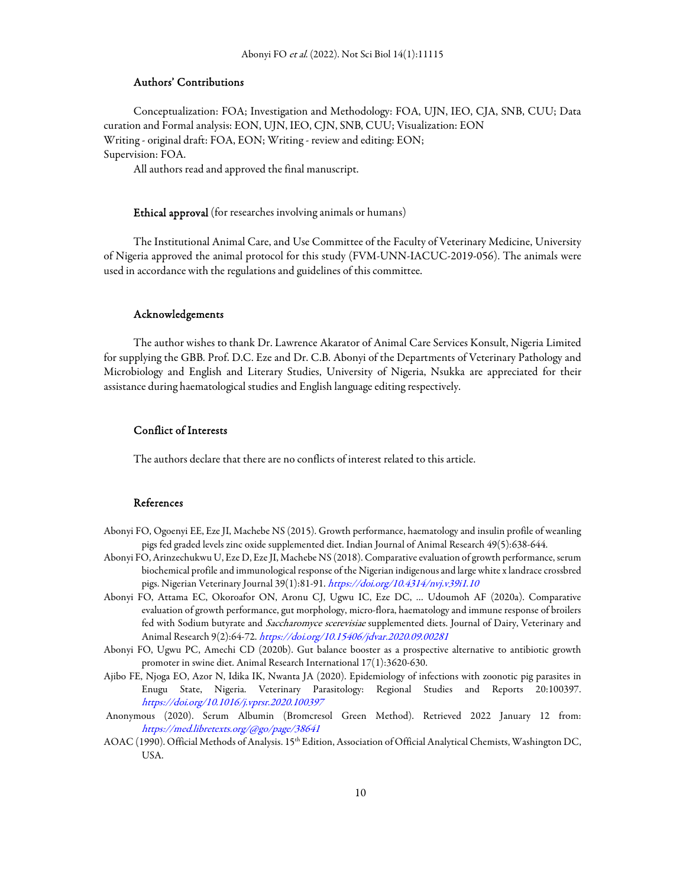## Authors' Contributions

Conceptualization: FOA; Investigation and Methodology: FOA, UJN, IEO, CJA, SNB, CUU; Data curation and Formal analysis: EON, UJN, IEO, CJN, SNB, CUU; Visualization: EON Writing - original draft: FOA, EON; Writing - review and editing: EON; Supervision: FOA.

All authors read and approved the final manuscript.

### Ethical approval (for researches involving animals or humans)

The Institutional Animal Care, and Use Committee of the Faculty of Veterinary Medicine, University of Nigeria approved the animal protocol for this study (FVM-UNN-IACUC-2019-056). The animals were used in accordance with the regulations and guidelines of this committee.

#### Acknowledgements

The author wishes to thank Dr. Lawrence Akarator of Animal Care Services Konsult, Nigeria Limited for supplying the GBB. Prof. D.C. Eze and Dr. C.B. Abonyi of the Departments of Veterinary Pathology and Microbiology and English and Literary Studies, University of Nigeria, Nsukka are appreciated for their assistance during haematological studies and English language editing respectively.

# Conflict of Interests

The authors declare that there are no conflicts of interest related to this article.

## References

- Abonyi FO, Ogoenyi EE, Eze JI, Machebe NS (2015). Growth performance, haematology and insulin profile of weanling pigs fed graded levels zinc oxide supplemented diet. Indian Journal of Animal Research 49(5):638-644.
- Abonyi FO, Arinzechukwu U, Eze D, Eze JI, Machebe NS (2018). Comparative evaluation of growth performance, serum biochemical profile and immunological response of the Nigerian indigenous and large white x landrace crossbred pigs. Nigerian Veterinary Journal 39(1):81-91. https://doi.org/10.4314/nvj.v39i1.10
- Abonyi FO, Attama EC, Okoroafor ON, Aronu CJ, Ugwu IC, Eze DC, … Udoumoh AF (2020a). Comparative evaluation of growth performance, gut morphology, micro-flora, haematology and immune response of broilers fed with Sodium butyrate and Saccharomyce scerevisiae supplemented diets. Journal of Dairy, Veterinary and Animal Research 9(2):64-72. https://doi.org/10.15406/jdvar.2020.09.00281
- Abonyi FO, Ugwu PC, Amechi CD (2020b). Gut balance booster as a prospective alternative to antibiotic growth promoter in swine diet. Animal Research International 17(1):3620-630.
- Ajibo FE, Njoga EO, Azor N, Idika IK, Nwanta JA (2020). Epidemiology of infections with zoonotic pig parasites in Enugu State, Nigeria. Veterinary Parasitology: Regional Studies and Reports 20:100397. https://doi.org/10.1016/j.vprsr.2020.100397
- Anonymous (2020). Serum Albumin (Bromcresol Green Method). Retrieved 2022 January 12 from: https://med.libretexts.org/@go/page/38641
- AOAC (1990). Official Methods of Analysis. 15<sup>th</sup> Edition, Association of Official Analytical Chemists, Washington DC, USA.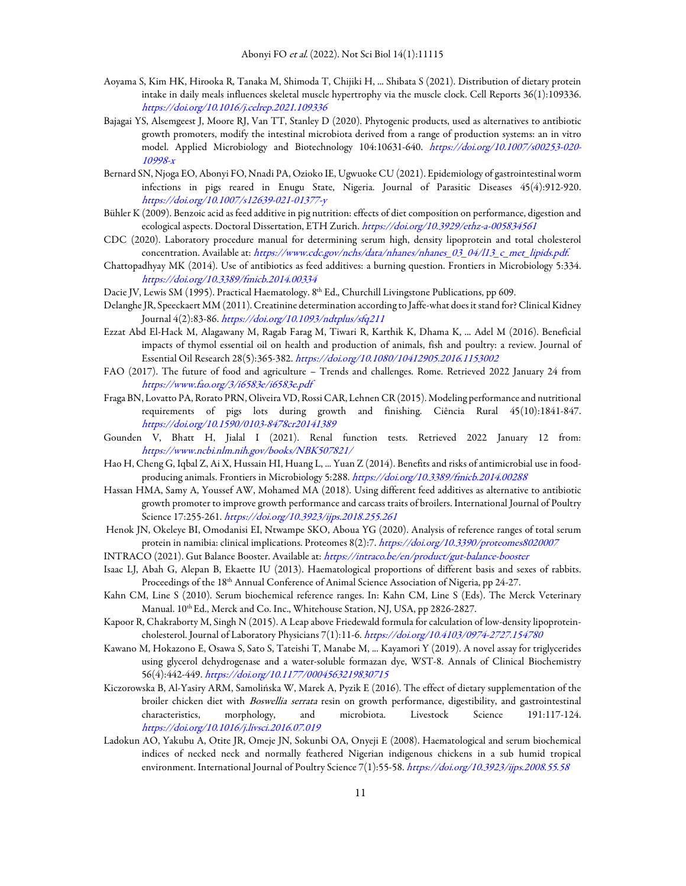- Aoyama S, Kim HK, Hirooka R, Tanaka M, Shimoda T, Chijiki H, ... Shibata S (2021). Distribution of dietary protein intake in daily meals influences skeletal muscle hypertrophy via the muscle clock. Cell Reports 36(1):109336. https://doi.org/10.1016/j.celrep.2021.109336
- Bajagai YS, Alsemgeest J, Moore RJ, Van TT, Stanley D (2020). Phytogenic products, used as alternatives to antibiotic growth promoters, modify the intestinal microbiota derived from a range of production systems: an in vitro model. Applied Microbiology and Biotechnology 104:10631-640. https://doi.org/10.1007/s00253-020- 10998-x
- Bernard SN, Njoga EO, Abonyi FO, Nnadi PA, Ozioko IE, Ugwuoke CU (2021). Epidemiology of gastrointestinal worm infections in pigs reared in Enugu State, Nigeria. Journal of Parasitic Diseases 45(4):912-920. https://doi.org/10.1007/s12639-021-01377-y
- Bühler K (2009). Benzoic acid as feed additive in pig nutrition: effects of diet composition on performance, digestion and ecological aspects. Doctoral Dissertation, ETH Zurich. https://doi.org/10.3929/ethz-a-005834561
- CDC (2020). Laboratory procedure manual for determining serum high, density lipoprotein and total cholesterol concentration. Available at: https://www.cdc.gov/nchs/data/nhanes/nhanes\_03\_04/l13\_c\_met\_lipids.pdf.
- Chattopadhyay MK (2014). Use of antibiotics as feed additives: a burning question. Frontiers in Microbiology 5:334. https://doi.org/10.3389/fmicb.2014.00334
- Dacie JV, Lewis SM (1995). Practical Haematology. 8<sup>th</sup> Ed., Churchill Livingstone Publications, pp 609.
- Delanghe JR, Speeckaert MM (2011). Creatinine determination according to Jaffe-what does it stand for? Clinical Kidney Journal 4(2):83-86. https://doi.org/10.1093/ndtplus/sfq211
- Ezzat Abd El-Hack M, Alagawany M, Ragab Farag M, Tiwari R, Karthik K, Dhama K, ... Adel M (2016). Beneficial impacts of thymol essential oil on health and production of animals, fish and poultry: a review. Journal of Essential Oil Research 28(5):365-382. https://doi.org/10.1080/10412905.2016.1153002
- FAO (2017). The future of food and agriculture Trends and challenges. Rome. Retrieved 2022 January 24 from https://www.fao.org/3/i6583e/i6583e.pdf
- Fraga BN, Lovatto PA, Rorato PRN, Oliveira VD, Rossi CAR, Lehnen CR (2015). Modeling performance and nutritional requirements of pigs lots during growth and finishing. Ciência Rural 45(10):1841-847. https://doi.org/10.1590/0103-8478cr20141389
- Gounden V, Bhatt H, Jialal I (2021). Renal function tests. Retrieved 2022 January 12 from: https://www.ncbi.nlm.nih.gov/books/NBK507821/
- Hao H, Cheng G, Iqbal Z, Ai X, Hussain HI, Huang L, ... Yuan Z (2014). Benefits and risks of antimicrobial use in foodproducing animals. Frontiers in Microbiology 5:288. https://doi.org/10.3389/fmicb.2014.00288
- Hassan HMA, Samy A, Youssef AW, Mohamed MA (2018). Using different feed additives as alternative to antibiotic growth promoter to improve growth performance and carcass traits of broilers. International Journal of Poultry Science 17:255-261. https://doi.org/10.3923/ijps.2018.255.261
- Henok JN, Okeleye BI, Omodanisi EI, Ntwampe SKO, Aboua YG (2020). Analysis of reference ranges of total serum protein in namibia: clinical implications. Proteomes 8(2):7. https://doi.org/10.3390/proteomes8020007
- INTRACO (2021). Gut Balance Booster. Available at: https://intraco.be/en/product/gut-balance-booster
- Isaac LJ, Abah G, Alepan B, Ekaette IU (2013). Haematological proportions of different basis and sexes of rabbits. Proceedings of the 18<sup>th</sup> Annual Conference of Animal Science Association of Nigeria, pp 24-27.
- Kahn CM, Line S (2010). Serum biochemical reference ranges. In: Kahn CM, Line S (Eds). The Merck Veterinary Manual. 10<sup>th</sup> Ed., Merck and Co. Inc., Whitehouse Station, NJ, USA, pp 2826-2827.
- Kapoor R, Chakraborty M, Singh N (2015). A Leap above Friedewald formula for calculation of low-density lipoproteincholesterol. Journal of Laboratory Physicians 7(1):11-6. https://doi.org/10.4103/0974-2727.154780
- Kawano M, Hokazono E, Osawa S, Sato S, Tateishi T, Manabe M, ... Kayamori Y (2019). A novel assay for triglycerides using glycerol dehydrogenase and a water-soluble formazan dye, WST-8. Annals of Clinical Biochemistry 56(4):442-449. https://doi.org/10.1177/0004563219830715
- Kiczorowska B, Al-Yasiry ARM, Samolińska W, Marek A, Pyzik E (2016). The effect of dietary supplementation of the broiler chicken diet with Boswellia serrata resin on growth performance, digestibility, and gastrointestinal characteristics, morphology, and microbiota. Livestock Science 191:117-124. https://doi.org/10.1016/j.livsci.2016.07.019
- Ladokun AO, Yakubu A, Otite JR, Omeje JN, Sokunbi OA, Onyeji E (2008). Haematological and serum biochemical indices of necked neck and normally feathered Nigerian indigenous chickens in a sub humid tropical environment. International Journal of Poultry Science 7(1):55-58. https://doi.org/10.3923/ijps.2008.55.58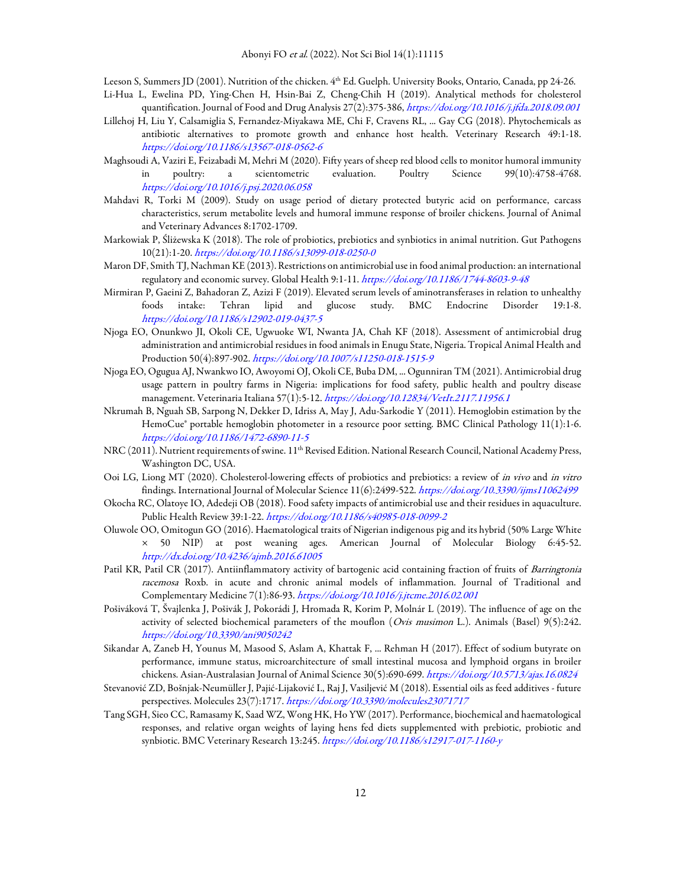Leeson S, Summers JD (2001). Nutrition of the chicken. 4<sup>th</sup> Ed. Guelph. University Books, Ontario, Canada, pp 24-26.

- Li-Hua L, Ewelina PD, Ying-Chen H, Hsin-Bai Z, Cheng-Chih H (2019). Analytical methods for cholesterol quantification. Journal of Food and Drug Analysis 27(2):375-386, https://doi.org/10.1016/j.jfda.2018.09.001
- Lillehoj H, Liu Y, Calsamiglia S, Fernandez-Miyakawa ME, Chi F, Cravens RL, ... Gay CG (2018). Phytochemicals as antibiotic alternatives to promote growth and enhance host health. Veterinary Research 49:1-18. https://doi.org/10.1186/s13567-018-0562-6
- Maghsoudi A, Vaziri E, Feizabadi M, Mehri M (2020). Fifty years of sheep red blood cells to monitor humoral immunity in poultry: a scientometric evaluation. Poultry Science 99(10):4758-4768. https://doi.org/10.1016/j.psj.2020.06.058
- Mahdavi R, Torki M (2009). Study on usage period of dietary protected butyric acid on performance, carcass characteristics, serum metabolite levels and humoral immune response of broiler chickens. Journal of Animal and Veterinary Advances 8:1702-1709.
- Markowiak P, Śliżewska K (2018). The role of probiotics, prebiotics and synbiotics in animal nutrition. Gut Pathogens 10(21):1-20. https://doi.org/10.1186/s13099-018-0250-0
- Maron DF, Smith TJ, Nachman KE (2013). Restrictions on antimicrobial use in food animal production: an international regulatory and economic survey. Global Health 9:1-11. https://doi.org/10.1186/1744-8603-9-48
- Mirmiran P, Gaeini Z, Bahadoran Z, Azizi F (2019). Elevated serum levels of aminotransferases in relation to unhealthy foods intake: Tehran lipid and glucose study. BMC Endocrine Disorder 19:1-8. https://doi.org/10.1186/s12902-019-0437-5
- Njoga EO, Onunkwo JI, Okoli CE, Ugwuoke WI, Nwanta JA, Chah KF (2018). Assessment of antimicrobial drug administration and antimicrobial residues in food animals in Enugu State, Nigeria. Tropical Animal Health and Production 50(4):897-902. https://doi.org/10.1007/s11250-018-1515-9
- Njoga EO, Ogugua AJ, Nwankwo IO, Awoyomi OJ, Okoli CE, Buba DM, ... Ogunniran TM (2021). Antimicrobial drug usage pattern in poultry farms in Nigeria: implications for food safety, public health and poultry disease management. Veterinaria Italiana 57(1):5-12. https://doi.org/10.12834/VetIt.2117.11956.1
- Nkrumah B, Nguah SB, Sarpong N, Dekker D, Idriss A, May J, Adu-Sarkodie Y (2011). Hemoglobin estimation by the HemoCue® portable hemoglobin photometer in a resource poor setting. BMC Clinical Pathology 11(1):1-6. https://doi.org/10.1186/1472-6890-11-5
- NRC (2011). Nutrient requirements of swine. 11<sup>th</sup> Revised Edition. National Research Council, National Academy Press, Washington DC, USA.
- Ooi LG, Liong MT (2020). Cholesterol-lowering effects of probiotics and prebiotics: a review of in vivo and in vitro findings. International Journal of Molecular Science 11(6):2499-522. https://doi.org/10.3390/ijms11062499
- Okocha RC, Olatoye IO, Adedeji OB (2018). Food safety impacts of antimicrobial use and their residues in aquaculture. Public Health Review 39:1-22. https://doi.org/10.1186/s40985-018-0099-2
- Oluwole OO, Omitogun GO (2016). Haematological traits of Nigerian indigenous pig and its hybrid (50% Large White × 50 NIP) at post weaning ages. American Journal of Molecular Biology 6:45-52. http://dx.doi.org/10.4236/ajmb.2016.61005
- Patil KR, Patil CR (2017). Antiinflammatory activity of bartogenic acid containing fraction of fruits of Barringtonia racemosa Roxb. in acute and chronic animal models of inflammation. Journal of Traditional and Complementary Medicine 7(1):86-93. https://doi.org/10.1016/j.jtcme.2016.02.001
- Pošiváková T, Švajlenka J, Pošivák J, Pokorádi J, Hromada R, Korim P, Molnár L (2019). The influence of age on the activity of selected biochemical parameters of the mouflon (Ovis musimon L.). Animals (Basel) 9(5):242. https://doi.org/10.3390/ani9050242
- Sikandar A, Zaneb H, Younus M, Masood S, Aslam A, Khattak F, ... Rehman H (2017). Effect of sodium butyrate on performance, immune status, microarchitecture of small intestinal mucosa and lymphoid organs in broiler chickens. Asian-Australasian Journal of Animal Science 30(5):690-699. https://doi.org/10.5713/ajas.16.0824
- Stevanović ZD, Bošnjak-Neumüller J, Pajić-Lijaković I., Raj J, Vasiljević M (2018). Essential oils as feed additives future perspectives. Molecules 23(7):1717. https://doi.org/10.3390/molecules23071717
- Tang SGH, Sieo CC, Ramasamy K, Saad WZ, Wong HK, Ho YW (2017). Performance, biochemical and haematological responses, and relative organ weights of laying hens fed diets supplemented with prebiotic, probiotic and synbiotic. BMC Veterinary Research 13:245. https://doi.org/10.1186/s12917-017-1160-y